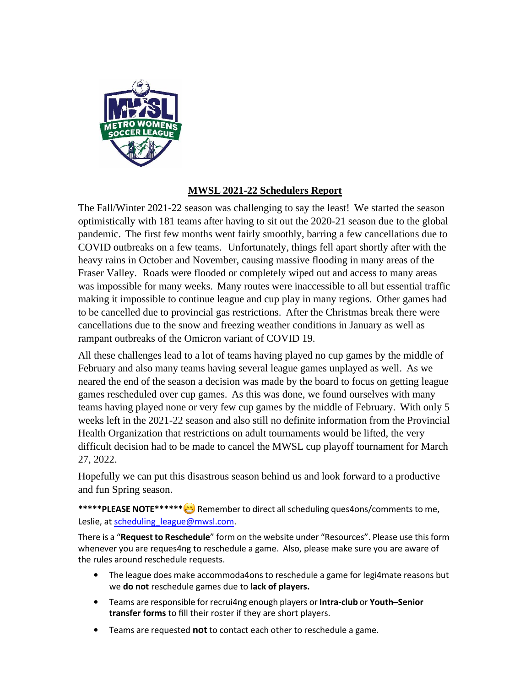

## **MWSL 2021-22 Schedulers Report**

The Fall/Winter 2021-22 season was challenging to say the least! We started the season optimistically with 181 teams after having to sit out the 2020-21 season due to the global pandemic. The first few months went fairly smoothly, barring a few cancellations due to COVID outbreaks on a few teams. Unfortunately, things fell apart shortly after with the heavy rains in October and November, causing massive flooding in many areas of the Fraser Valley. Roads were flooded or completely wiped out and access to many areas was impossible for many weeks. Many routes were inaccessible to all but essential traffic making it impossible to continue league and cup play in many regions. Other games had to be cancelled due to provincial gas restrictions. After the Christmas break there were cancellations due to the snow and freezing weather conditions in January as well as rampant outbreaks of the Omicron variant of COVID 19.

All these challenges lead to a lot of teams having played no cup games by the middle of February and also many teams having several league games unplayed as well. As we neared the end of the season a decision was made by the board to focus on getting league games rescheduled over cup games. As this was done, we found ourselves with many teams having played none or very few cup games by the middle of February. With only 5 weeks left in the 2021-22 season and also still no definite information from the Provincial Health Organization that restrictions on adult tournaments would be lifted, the very difficult decision had to be made to cancel the MWSL cup playoff tournament for March 27, 2022.

Hopefully we can put this disastrous season behind us and look forward to a productive and fun Spring season.

\*\*\*\*\*PLEASE NOTE\*\*\*\*\*\*<sup>\*</sup> Remember to direct all scheduling ques4ons/comments to me, Leslie, a[t scheduling\\_league@mwsl.com.](mailto:scheduling_league@mwsl.com)

There is a "**Request to Reschedule**" form on the website under "Resources". Please use thisform whenever you are reques4ng to reschedule a game. Also, please make sure you are aware of the rules around reschedule requests.

- The league does make accommoda4ons to reschedule a game for legi4mate reasons but we **do not** reschedule games due to **lack of players.**
- Teams are responsible forrecrui4ng enough players or**Intra-club** or **Youth–Senior transfer forms** to fill their roster if they are short players.
- Teams are requested **not** to contact each other to reschedule a game.